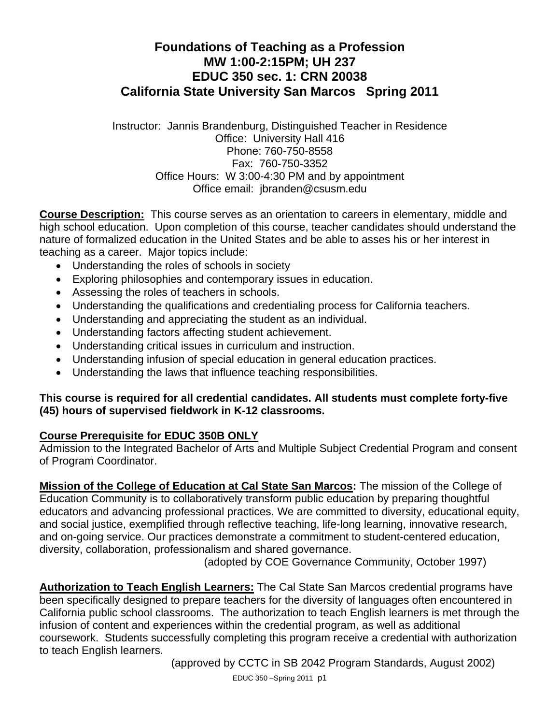# **Foundations of Teaching as a Profession MW 1:00-2:15PM; UH 237 EDUC 350 sec. 1: CRN 20038 California State University San Marcos Spring 2011**

Instructor: Jannis Brandenburg, Distinguished Teacher in Residence Office: University Hall 416 Phone: 760-750-8558 Fax: 760-750-3352 Office Hours: W 3:00-4:30 PM and by appointment Office email: jbranden@csusm.edu

**Course Description:** This course serves as an orientation to careers in elementary, middle and high school education. Upon completion of this course, teacher candidates should understand the nature of formalized education in the United States and be able to asses his or her interest in teaching as a career. Major topics include:

- Understanding the roles of schools in society
- Exploring philosophies and contemporary issues in education.
- Assessing the roles of teachers in schools.
- Understanding the qualifications and credentialing process for California teachers.
- Understanding and appreciating the student as an individual.
- Understanding factors affecting student achievement.
- Understanding critical issues in curriculum and instruction.
- Understanding infusion of special education in general education practices.
- Understanding the laws that influence teaching responsibilities.

## **This course is required for all credential candidates. All students must complete forty-five (45) hours of supervised fieldwork in K-12 classrooms.**

# **Course Prerequisite for EDUC 350B ONLY**

Admission to the Integrated Bachelor of Arts and Multiple Subject Credential Program and consent of Program Coordinator.

**Mission of the College of Education at Cal State San Marcos:** The mission of the College of Education Community is to collaboratively transform public education by preparing thoughtful educators and advancing professional practices. We are committed to diversity, educational equity, and social justice, exemplified through reflective teaching, life-long learning, innovative research, and on-going service. Our practices demonstrate a commitment to student-centered education, diversity, collaboration, professionalism and shared governance.

(adopted by COE Governance Community, October 1997)

**Authorization to Teach English Learners:** The Cal State San Marcos credential programs have been specifically designed to prepare teachers for the diversity of languages often encountered in California public school classrooms. The authorization to teach English learners is met through the infusion of content and experiences within the credential program, as well as additional coursework. Students successfully completing this program receive a credential with authorization to teach English learners.

(approved by CCTC in SB 2042 Program Standards, August 2002)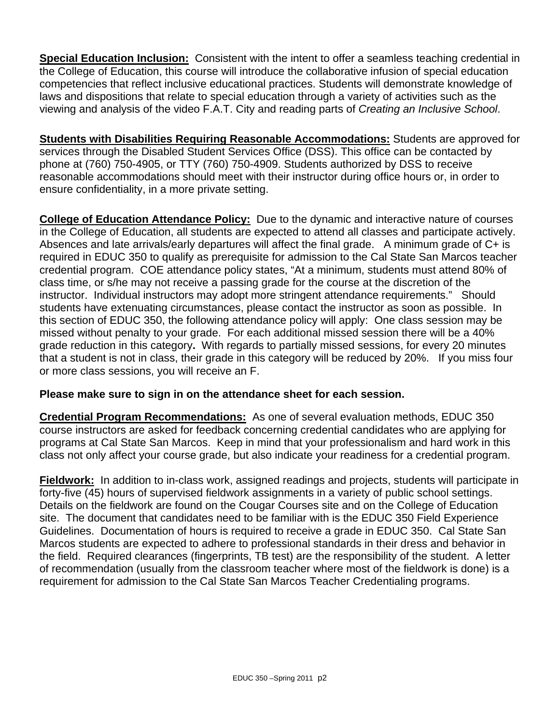**Special Education Inclusion:** Consistent with the intent to offer a seamless teaching credential in the College of Education, this course will introduce the collaborative infusion of special education competencies that reflect inclusive educational practices. Students will demonstrate knowledge of laws and dispositions that relate to special education through a variety of activities such as the viewing and analysis of the video F.A.T. City and reading parts of *Creating an Inclusive School*.

**Students with Disabilities Requiring Reasonable Accommodations:** Students are approved for services through the Disabled Student Services Office (DSS). This office can be contacted by phone at (760) 750-4905, or TTY (760) 750-4909. Students authorized by DSS to receive reasonable accommodations should meet with their instructor during office hours or, in order to ensure confidentiality, in a more private setting.

**College of Education Attendance Policy:** Due to the dynamic and interactive nature of courses in the College of Education, all students are expected to attend all classes and participate actively. Absences and late arrivals/early departures will affect the final grade. A minimum grade of C+ is required in EDUC 350 to qualify as prerequisite for admission to the Cal State San Marcos teacher credential program. COE attendance policy states, "At a minimum, students must attend 80% of class time, or s/he may not receive a passing grade for the course at the discretion of the instructor. Individual instructors may adopt more stringent attendance requirements." Should students have extenuating circumstances, please contact the instructor as soon as possible. In this section of EDUC 350, the following attendance policy will apply: One class session may be missed without penalty to your grade. For each additional missed session there will be a 40% grade reduction in this category**.** With regards to partially missed sessions, for every 20 minutes that a student is not in class, their grade in this category will be reduced by 20%. If you miss four or more class sessions, you will receive an F.

# **Please make sure to sign in on the attendance sheet for each session.**

**Credential Program Recommendations:** As one of several evaluation methods, EDUC 350 course instructors are asked for feedback concerning credential candidates who are applying for programs at Cal State San Marcos. Keep in mind that your professionalism and hard work in this class not only affect your course grade, but also indicate your readiness for a credential program.

**Fieldwork:** In addition to in-class work, assigned readings and projects, students will participate in forty-five (45) hours of supervised fieldwork assignments in a variety of public school settings. Details on the fieldwork are found on the Cougar Courses site and on the College of Education site. The document that candidates need to be familiar with is the EDUC 350 Field Experience Guidelines. Documentation of hours is required to receive a grade in EDUC 350. Cal State San Marcos students are expected to adhere to professional standards in their dress and behavior in the field. Required clearances (fingerprints, TB test) are the responsibility of the student. A letter of recommendation (usually from the classroom teacher where most of the fieldwork is done) is a requirement for admission to the Cal State San Marcos Teacher Credentialing programs.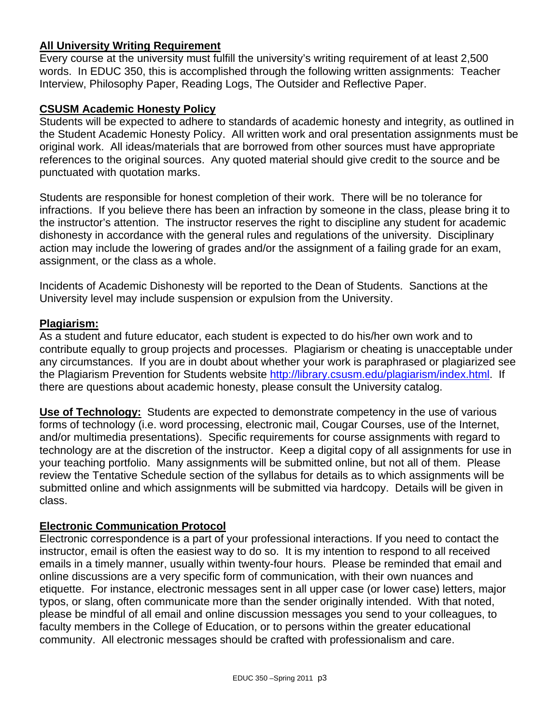#### **All University Writing Requirement**

Every course at the university must fulfill the university's writing requirement of at least 2,500 words. In EDUC 350, this is accomplished through the following written assignments: Teacher Interview, Philosophy Paper, Reading Logs, The Outsider and Reflective Paper.

#### **CSUSM Academic Honesty Policy**

Students will be expected to adhere to standards of academic honesty and integrity, as outlined in the Student Academic Honesty Policy. All written work and oral presentation assignments must be original work. All ideas/materials that are borrowed from other sources must have appropriate references to the original sources. Any quoted material should give credit to the source and be punctuated with quotation marks.

Students are responsible for honest completion of their work. There will be no tolerance for infractions. If you believe there has been an infraction by someone in the class, please bring it to the instructor's attention. The instructor reserves the right to discipline any student for academic dishonesty in accordance with the general rules and regulations of the university. Disciplinary action may include the lowering of grades and/or the assignment of a failing grade for an exam, assignment, or the class as a whole.

Incidents of Academic Dishonesty will be reported to the Dean of Students. Sanctions at the University level may include suspension or expulsion from the University.

#### **Plagiarism:**

As a student and future educator, each student is expected to do his/her own work and to contribute equally to group projects and processes. Plagiarism or cheating is unacceptable under any circumstances. If you are in doubt about whether your work is paraphrased or plagiarized see the Plagiarism Prevention for Students website http://library.csusm.edu/plagiarism/index.html. If there are questions about academic honesty, please consult the University catalog.

**Use of Technology:** Students are expected to demonstrate competency in the use of various forms of technology (i.e. word processing, electronic mail, Cougar Courses, use of the Internet, and/or multimedia presentations). Specific requirements for course assignments with regard to technology are at the discretion of the instructor. Keep a digital copy of all assignments for use in your teaching portfolio. Many assignments will be submitted online, but not all of them. Please review the Tentative Schedule section of the syllabus for details as to which assignments will be submitted online and which assignments will be submitted via hardcopy. Details will be given in class.

#### **Electronic Communication Protocol**

Electronic correspondence is a part of your professional interactions. If you need to contact the instructor, email is often the easiest way to do so. It is my intention to respond to all received emails in a timely manner, usually within twenty-four hours. Please be reminded that email and online discussions are a very specific form of communication, with their own nuances and etiquette. For instance, electronic messages sent in all upper case (or lower case) letters, major typos, or slang, often communicate more than the sender originally intended. With that noted, please be mindful of all email and online discussion messages you send to your colleagues, to faculty members in the College of Education, or to persons within the greater educational community. All electronic messages should be crafted with professionalism and care.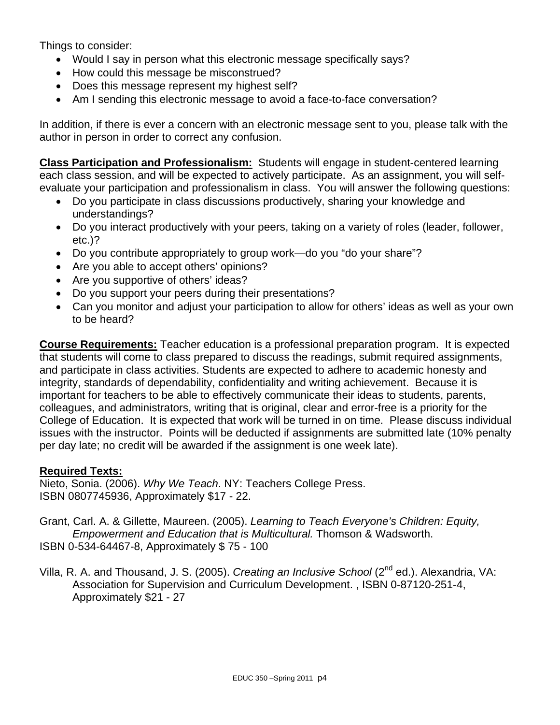Things to consider:

- Would I say in person what this electronic message specifically says?
- How could this message be misconstrued?
- Does this message represent my highest self?
- Am I sending this electronic message to avoid a face-to-face conversation?

In addition, if there is ever a concern with an electronic message sent to you, please talk with the author in person in order to correct any confusion.

**Class Participation and Professionalism:** Students will engage in student-centered learning each class session, and will be expected to actively participate. As an assignment, you will selfevaluate your participation and professionalism in class. You will answer the following questions:

- Do you participate in class discussions productively, sharing your knowledge and understandings?
- Do you interact productively with your peers, taking on a variety of roles (leader, follower, etc.)?
- Do you contribute appropriately to group work—do you "do your share"?
- Are you able to accept others' opinions?
- Are you supportive of others' ideas?
- Do you support your peers during their presentations?
- Can you monitor and adjust your participation to allow for others' ideas as well as your own to be heard?

**Course Requirements:** Teacher education is a professional preparation program. It is expected that students will come to class prepared to discuss the readings, submit required assignments, and participate in class activities. Students are expected to adhere to academic honesty and integrity, standards of dependability, confidentiality and writing achievement. Because it is important for teachers to be able to effectively communicate their ideas to students, parents, colleagues, and administrators, writing that is original, clear and error-free is a priority for the College of Education. It is expected that work will be turned in on time. Please discuss individual issues with the instructor. Points will be deducted if assignments are submitted late (10% penalty per day late; no credit will be awarded if the assignment is one week late).

#### **Required Texts:**

Nieto, Sonia. (2006). *Why We Teach*. NY: Teachers College Press. ISBN 0807745936, Approximately \$17 - 22.

Grant, Carl. A. & Gillette, Maureen. (2005). *Learning to Teach Everyone's Children: Equity, Empowerment and Education that is Multicultural.* Thomson & Wadsworth. ISBN 0-534-64467-8, Approximately \$ 75 - 100

Villa, R. A. and Thousand, J. S. (2005). *Creating an Inclusive School* (2<sup>nd</sup> ed.). Alexandria, VA: Association for Supervision and Curriculum Development. , ISBN 0-87120-251-4, Approximately \$21 - 27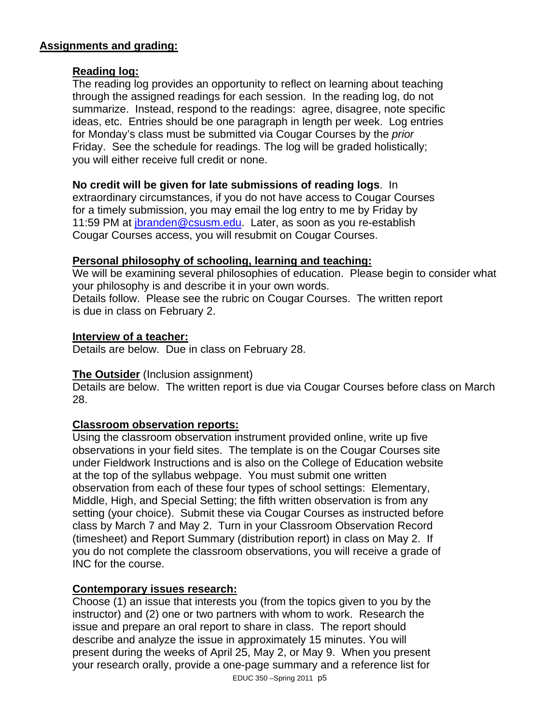## **Assignments and grading:**

### **Reading log:**

The reading log provides an opportunity to reflect on learning about teaching through the assigned readings for each session. In the reading log, do not summarize. Instead, respond to the readings: agree, disagree, note specific ideas, etc. Entries should be one paragraph in length per week. Log entries for Monday's class must be submitted via Cougar Courses by the *prior*  Friday. See the schedule for readings. The log will be graded holistically; you will either receive full credit or none.

## **No credit will be given for late submissions of reading logs**. In

extraordinary circumstances, if you do not have access to Cougar Courses for a timely submission, you may email the log entry to me by Friday by 11:59 PM at jbranden@csusm.edu. Later, as soon as you re-establish Cougar Courses access, you will resubmit on Cougar Courses.

## **Personal philosophy of schooling, learning and teaching:**

We will be examining several philosophies of education. Please begin to consider what your philosophy is and describe it in your own words. Details follow. Please see the rubric on Cougar Courses. The written report is due in class on February 2.

#### **Interview of a teacher:**

Details are below. Due in class on February 28.

#### **The Outsider** (Inclusion assignment)

Details are below. The written report is due via Cougar Courses before class on March 28.

# **Classroom observation reports:**

Using the classroom observation instrument provided online, write up five observations in your field sites. The template is on the Cougar Courses site under Fieldwork Instructions and is also on the College of Education website at the top of the syllabus webpage. You must submit one written observation from each of these four types of school settings: Elementary, Middle, High, and Special Setting; the fifth written observation is from any setting (your choice). Submit these via Cougar Courses as instructed before class by March 7 and May 2. Turn in your Classroom Observation Record (timesheet) and Report Summary (distribution report) in class on May 2. If you do not complete the classroom observations, you will receive a grade of INC for the course.

#### **Contemporary issues research:**

Choose (1) an issue that interests you (from the topics given to you by the instructor) and (2) one or two partners with whom to work. Research the issue and prepare an oral report to share in class. The report should describe and analyze the issue in approximately 15 minutes. You will present during the weeks of April 25, May 2, or May 9. When you present your research orally, provide a one-page summary and a reference list for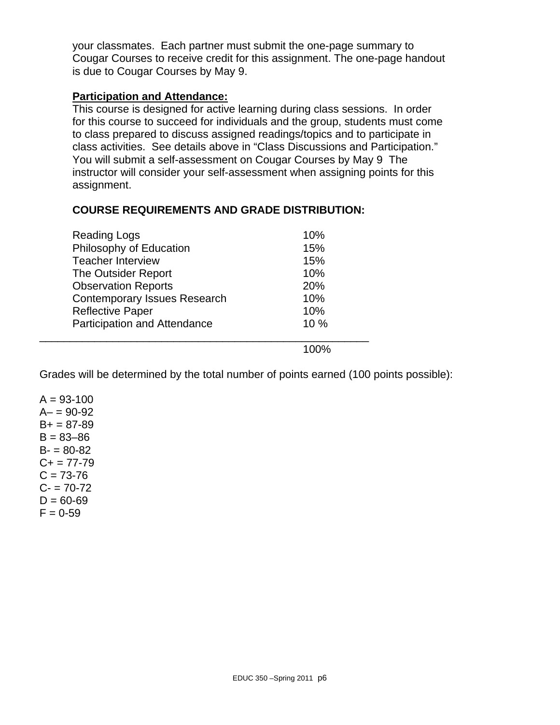your classmates. Each partner must submit the one-page summary to Cougar Courses to receive credit for this assignment. The one-page handout is due to Cougar Courses by May 9.

#### **Participation and Attendance:**

This course is designed for active learning during class sessions. In order for this course to succeed for individuals and the group, students must come to class prepared to discuss assigned readings/topics and to participate in class activities. See details above in "Class Discussions and Participation." You will submit a self-assessment on Cougar Courses by May 9 The instructor will consider your self-assessment when assigning points for this assignment.

#### **COURSE REQUIREMENTS AND GRADE DISTRIBUTION:**

| <b>Reading Logs</b>                 | 10% |
|-------------------------------------|-----|
| Philosophy of Education             | 15% |
| <b>Teacher Interview</b>            | 15% |
| The Outsider Report                 | 10% |
| <b>Observation Reports</b>          | 20% |
| <b>Contemporary Issues Research</b> | 10% |
| <b>Reflective Paper</b>             | 10% |
| <b>Participation and Attendance</b> | 10% |
|                                     |     |

Grades will be determined by the total number of points earned (100 points possible):

 $A = 93 - 100$  $A - 90 - 92$  $B+ = 87-89$  $B = 83 - 86$  $B - 80 - 82$  $C+= 77-79$  $C = 73 - 76$  $C - 70 - 72$  $D = 60 - 69$  $F = 0-59$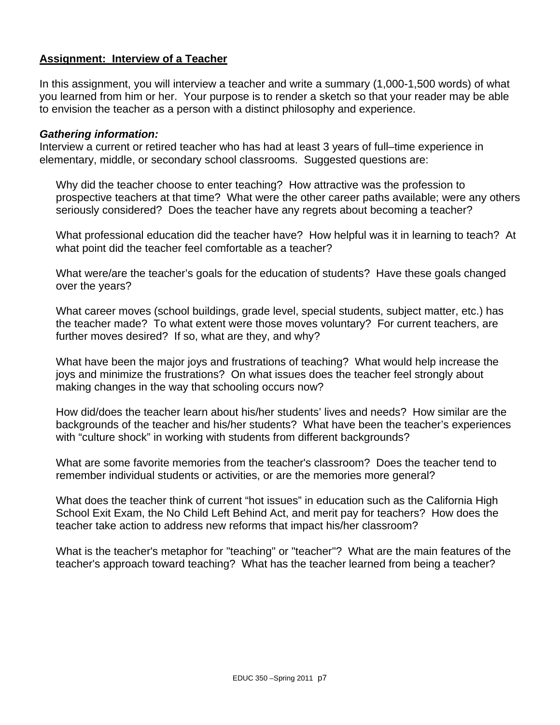### **Assignment: Interview of a Teacher**

In this assignment, you will interview a teacher and write a summary (1,000-1,500 words) of what you learned from him or her. Your purpose is to render a sketch so that your reader may be able to envision the teacher as a person with a distinct philosophy and experience.

#### *Gathering information:*

Interview a current or retired teacher who has had at least 3 years of full–time experience in elementary, middle, or secondary school classrooms. Suggested questions are:

Why did the teacher choose to enter teaching? How attractive was the profession to prospective teachers at that time? What were the other career paths available; were any others seriously considered? Does the teacher have any regrets about becoming a teacher?

What professional education did the teacher have? How helpful was it in learning to teach? At what point did the teacher feel comfortable as a teacher?

What were/are the teacher's goals for the education of students? Have these goals changed over the years?

What career moves (school buildings, grade level, special students, subject matter, etc.) has the teacher made? To what extent were those moves voluntary? For current teachers, are further moves desired? If so, what are they, and why?

What have been the major joys and frustrations of teaching? What would help increase the joys and minimize the frustrations? On what issues does the teacher feel strongly about making changes in the way that schooling occurs now?

How did/does the teacher learn about his/her students' lives and needs? How similar are the backgrounds of the teacher and his/her students? What have been the teacher's experiences with "culture shock" in working with students from different backgrounds?

What are some favorite memories from the teacher's classroom? Does the teacher tend to remember individual students or activities, or are the memories more general?

What does the teacher think of current "hot issues" in education such as the California High School Exit Exam, the No Child Left Behind Act, and merit pay for teachers? How does the teacher take action to address new reforms that impact his/her classroom?

What is the teacher's metaphor for "teaching" or "teacher"? What are the main features of the teacher's approach toward teaching? What has the teacher learned from being a teacher?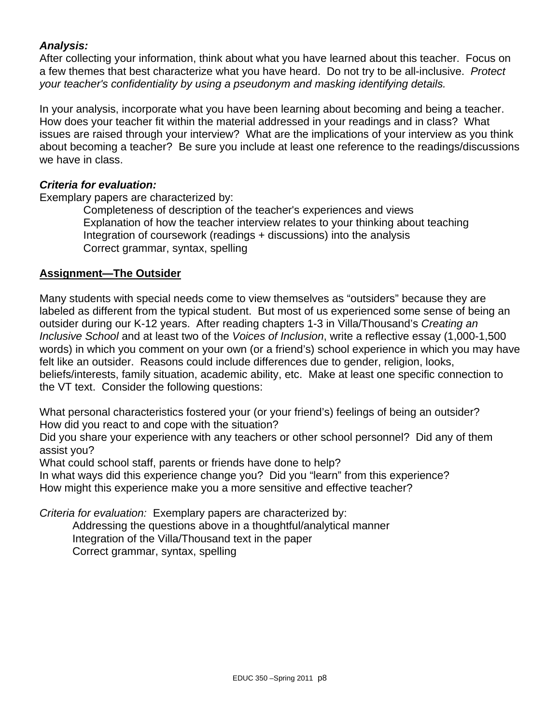# *Analysis:*

After collecting your information, think about what you have learned about this teacher. Focus on a few themes that best characterize what you have heard. Do not try to be all-inclusive. *Protect your teacher's confidentiality by using a pseudonym and masking identifying details.* 

In your analysis, incorporate what you have been learning about becoming and being a teacher. How does your teacher fit within the material addressed in your readings and in class? What issues are raised through your interview? What are the implications of your interview as you think about becoming a teacher? Be sure you include at least one reference to the readings/discussions we have in class.

#### *Criteria for evaluation:*

Exemplary papers are characterized by:

Completeness of description of the teacher's experiences and views Explanation of how the teacher interview relates to your thinking about teaching Integration of coursework (readings + discussions) into the analysis Correct grammar, syntax, spelling

#### **Assignment—The Outsider**

Many students with special needs come to view themselves as "outsiders" because they are labeled as different from the typical student. But most of us experienced some sense of being an outsider during our K-12 years. After reading chapters 1-3 in Villa/Thousand's *Creating an Inclusive School* and at least two of the *Voices of Inclusion*, write a reflective essay (1,000-1,500 words) in which you comment on your own (or a friend's) school experience in which you may have felt like an outsider. Reasons could include differences due to gender, religion, looks, beliefs/interests, family situation, academic ability, etc. Make at least one specific connection to the VT text. Consider the following questions:

What personal characteristics fostered your (or your friend's) feelings of being an outsider? How did you react to and cope with the situation?

Did you share your experience with any teachers or other school personnel? Did any of them assist you?

What could school staff, parents or friends have done to help?

In what ways did this experience change you? Did you "learn" from this experience? How might this experience make you a more sensitive and effective teacher?

*Criteria for evaluation:* Exemplary papers are characterized by:

Addressing the questions above in a thoughtful/analytical manner Integration of the Villa/Thousand text in the paper Correct grammar, syntax, spelling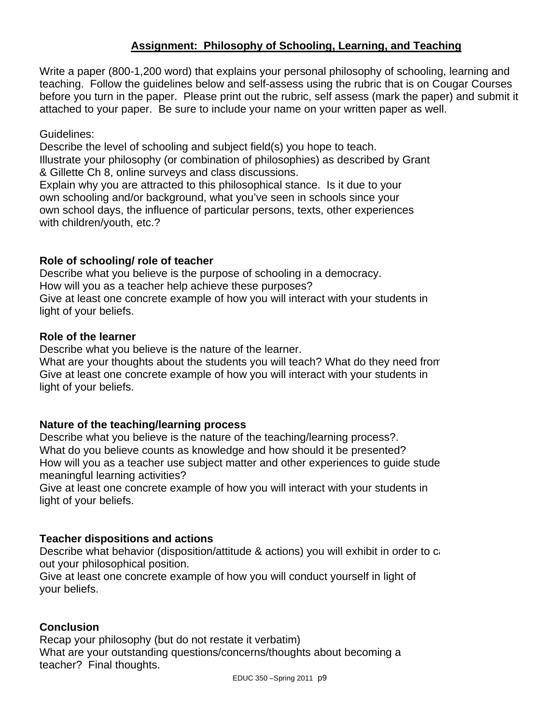## **Assignment: Philosophy of Schooling, Learning, and Teaching**

Write a paper (800-1,200 word) that explains your personal philosophy of schooling, learning and teaching. Follow the guidelines below and self-assess using the rubric that is on Cougar Courses before you turn in the paper. Please print out the rubric, self assess (mark the paper) and submit it attached to your paper. Be sure to include your name on your written paper as well.

### Guidelines:

Describe the level of schooling and subject field(s) you hope to teach. Illustrate your philosophy (or combination of philosophies) as described by Grant & Gillette Ch 8, online surveys and class discussions.

Explain why you are attracted to this philosophical stance. Is it due to your own schooling and/or background, what you've seen in schools since your own school days, the influence of particular persons, texts, other experiences with children/youth, etc.?

#### **Role of schooling/ role of teacher**

 How will you as a teacher help achieve these purposes? Describe what you believe is the purpose of schooling in a democracy. Give at least one concrete example of how you will interact with your students in light of your beliefs.

#### **Role of the learner**

Describe what you believe is the nature of the learner.

What are your thoughts about the students you will teach? What do they need from Give at least one concrete example of how you will interact with your students in light of your beliefs.

#### **Nature of the teaching/learning process**

Describe what you believe is the nature of the teaching/learning process?. What do you believe counts as knowledge and how should it be presented? How will you as a teacher use subject matter and other experiences to guide stude meaningful learning activities?

Give at least one concrete example of how you will interact with your students in light of your beliefs.

#### **Teacher dispositions and actions**

Describe what behavior (disposition/attitude & actions) you will exhibit in order to ca out your philosophical position.

Give at least one concrete example of how you will conduct yourself in light of your beliefs.

#### **Conclusion**

Recap your philosophy (but do not restate it verbatim) What are your outstanding questions/concerns/thoughts about becoming a teacher? Final thoughts.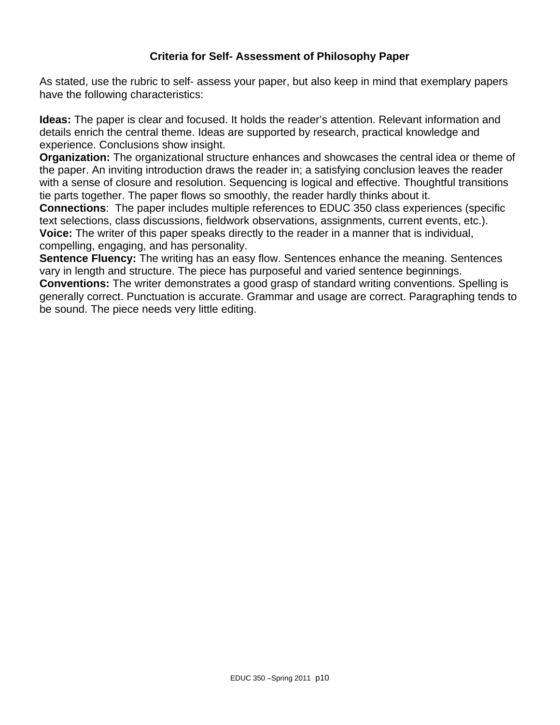# **Criteria for Self- Assessment of Philosophy Paper**

As stated, use the rubric to self- assess your paper, but also keep in mind that exemplary papers have the following characteristics:

**Ideas:** The paper is clear and focused. It holds the reader's attention. Relevant information and details enrich the central theme. Ideas are supported by research, practical knowledge and experience. Conclusions show insight.

**Organization:** The organizational structure enhances and showcases the central idea or theme of the paper. An inviting introduction draws the reader in; a satisfying conclusion leaves the reader with a sense of closure and resolution. Sequencing is logical and effective. Thoughtful transitions tie parts together. The paper flows so smoothly, the reader hardly thinks about it.

**Connections**: The paper includes multiple references to EDUC 350 class experiences (specific text selections, class discussions, fieldwork observations, assignments, current events, etc.). **Voice:** The writer of this paper speaks directly to the reader in a manner that is individual, compelling, engaging, and has personality.

**Sentence Fluency:** The writing has an easy flow. Sentences enhance the meaning. Sentences vary in length and structure. The piece has purposeful and varied sentence beginnings.

**Conventions:** The writer demonstrates a good grasp of standard writing conventions. Spelling is generally correct. Punctuation is accurate. Grammar and usage are correct. Paragraphing tends to be sound. The piece needs very little editing.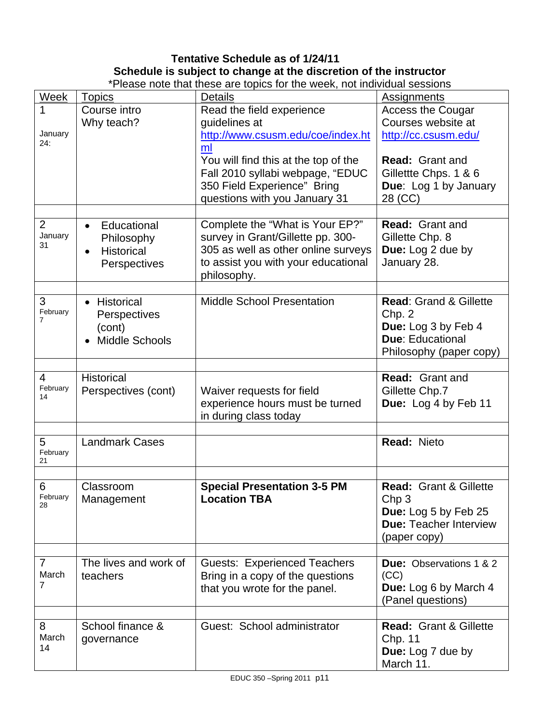# **Tentative Schedule as of 1/24/11 Schedule is subject to change at the discretion of the instructor**

| *Please note that these are topics for the week, not individual sessions |                                                                                         |                                                                                                                                                                   |                                                                                                                                |  |
|--------------------------------------------------------------------------|-----------------------------------------------------------------------------------------|-------------------------------------------------------------------------------------------------------------------------------------------------------------------|--------------------------------------------------------------------------------------------------------------------------------|--|
| <b>Week</b>                                                              | <b>Topics</b>                                                                           | <b>Details</b>                                                                                                                                                    | Assignments                                                                                                                    |  |
| 1<br>January<br>24:                                                      | Course intro<br>Why teach?                                                              | Read the field experience<br>guidelines at<br>http://www.csusm.edu/coe/index.ht                                                                                   | <b>Access the Cougar</b><br>Courses website at<br>http://cc.csusm.edu/                                                         |  |
|                                                                          |                                                                                         | ml<br>You will find this at the top of the<br>Fall 2010 syllabi webpage, "EDUC<br>350 Field Experience" Bring<br>questions with you January 31                    | <b>Read: Grant and</b><br>Gillettte Chps. 1 & 6<br>Due: Log 1 by January<br>28 (CC)                                            |  |
| $\overline{2}$<br>January<br>31                                          | Educational<br>$\bullet$<br>Philosophy<br>Historical<br>$\bullet$<br>Perspectives       | Complete the "What is Your EP?"<br>survey in Grant/Gillette pp. 300-<br>305 as well as other online surveys<br>to assist you with your educational<br>philosophy. | <b>Read:</b> Grant and<br>Gillette Chp. 8<br>Due: Log 2 due by<br>January 28.                                                  |  |
| 3<br>February<br>7                                                       | Historical<br>$\bullet$<br>Perspectives<br>(cont)<br><b>Middle Schools</b><br>$\bullet$ | <b>Middle School Presentation</b>                                                                                                                                 | <b>Read: Grand &amp; Gillette</b><br>Chp. 2<br>Due: Log 3 by Feb 4<br><b>Due: Educational</b><br>Philosophy (paper copy)       |  |
| 4<br>February<br>14                                                      | <b>Historical</b><br>Perspectives (cont)                                                | Waiver requests for field<br>experience hours must be turned<br>in during class today                                                                             | Read: Grant and<br>Gillette Chp.7<br>Due: Log 4 by Feb 11                                                                      |  |
| 5<br>February<br>21                                                      | <b>Landmark Cases</b>                                                                   |                                                                                                                                                                   | Read: Nieto                                                                                                                    |  |
| 6<br>February<br>28                                                      | Classroom<br>Management                                                                 | <b>Special Presentation 3-5 PM</b><br><b>Location TBA</b>                                                                                                         | <b>Read: Grant &amp; Gillette</b><br>Chp <sub>3</sub><br>Due: Log 5 by Feb 25<br><b>Due: Teacher Interview</b><br>(paper copy) |  |
| $\overline{7}$<br>March<br>7                                             | The lives and work of<br>teachers                                                       | <b>Guests: Experienced Teachers</b><br>Bring in a copy of the questions<br>that you wrote for the panel.                                                          | <b>Due: Observations 1 &amp; 2</b><br>(CC)<br>Due: Log 6 by March 4<br>(Panel questions)                                       |  |
| 8<br>March<br>14                                                         | School finance &<br>governance                                                          | Guest: School administrator                                                                                                                                       | <b>Read: Grant &amp; Gillette</b><br>Chp. 11<br>Due: Log 7 due by<br>March 11.                                                 |  |